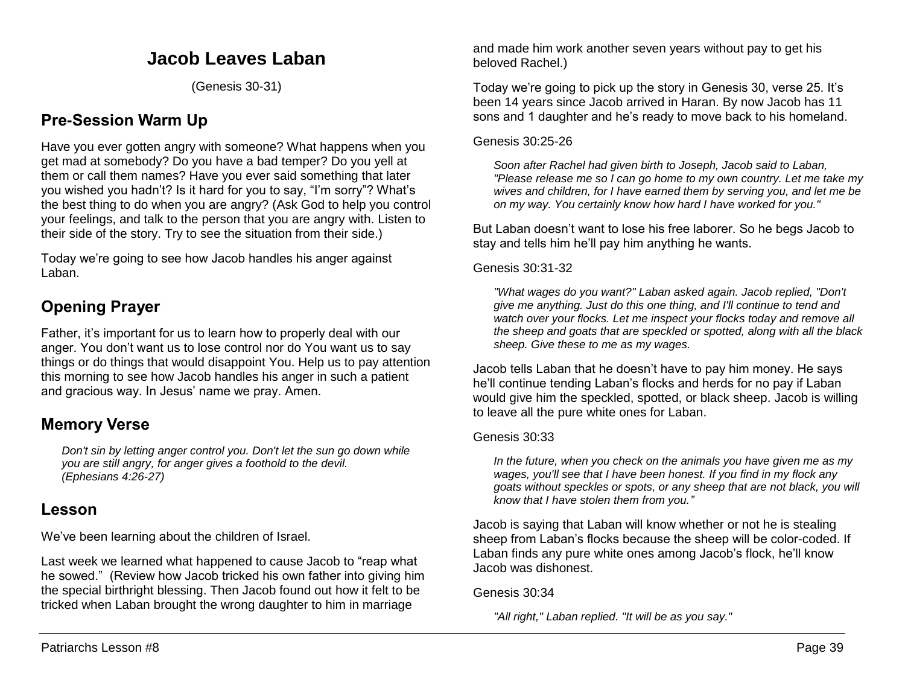# **Jacob Leaves Laban**

(Genesis 30-31)

## **Pre-Session Warm Up**

Have you ever gotten angry with someone? What happens when you get mad at somebody? Do you have a bad temper? Do you yell at them or call them names? Have you ever said something that later you wished you hadn't? Is it hard for you to say, "I'm sorry"? What's the best thing to do when you are angry? (Ask God to help you control your feelings, and talk to the person that you are angry with. Listen to their side of the story. Try to see the situation from their side.)

Today we're going to see how Jacob handles his anger against Laban.

# **Opening Prayer**

Father, it's important for us to learn how to properly deal with our anger. You don't want us to lose control nor do You want us to say things or do things that would disappoint You. Help us to pay attention this morning to see how Jacob handles his anger in such a patient and gracious way. In Jesus' name we pray. Amen.

## **Memory Verse**

*Don't sin by letting anger control you. Don't let the sun go down while you are still angry, for anger gives a foothold to the devil. (Ephesians 4:26-27)*

## **Lesson**

We've been learning about the children of Israel.

Last week we learned what happened to cause Jacob to "reap what he sowed." (Review how Jacob tricked his own father into giving him the special birthright blessing. Then Jacob found out how it felt to be tricked when Laban brought the wrong daughter to him in marriage

and made him work another seven years without pay to get his beloved Rachel.)

Today we're going to pick up the story in Genesis 30, verse 25. It's been 14 years since Jacob arrived in Haran. By now Jacob has 11 sons and 1 daughter and he's ready to move back to his homeland.

### Genesis 30:25-26

*Soon after Rachel had given birth to Joseph, Jacob said to Laban, "Please release me so I can go home to my own country. Let me take my wives and children, for I have earned them by serving you, and let me be on my way. You certainly know how hard I have worked for you."* 

But Laban doesn't want to lose his free laborer. So he begs Jacob to stay and tells him he'll pay him anything he wants.

Genesis 30:31-32

*"What wages do you want?" Laban asked again. Jacob replied, "Don't give me anything. Just do this one thing, and I'll continue to tend and watch over your flocks. Let me inspect your flocks today and remove all the sheep and goats that are speckled or spotted, along with all the black sheep. Give these to me as my wages.* 

Jacob tells Laban that he doesn't have to pay him money. He says he'll continue tending Laban's flocks and herds for no pay if Laban would give him the speckled, spotted, or black sheep. Jacob is willing to leave all the pure white ones for Laban.

### Genesis 30:33

*In the future, when you check on the animals you have given me as my wages, you'll see that I have been honest. If you find in my flock any goats without speckles or spots, or any sheep that are not black, you will know that I have stolen them from you."*

Jacob is saying that Laban will know whether or not he is stealing sheep from Laban's flocks because the sheep will be color-coded. If Laban finds any pure white ones among Jacob's flock, he'll know Jacob was dishonest.

Genesis 30:34

*"All right," Laban replied. "It will be as you say."*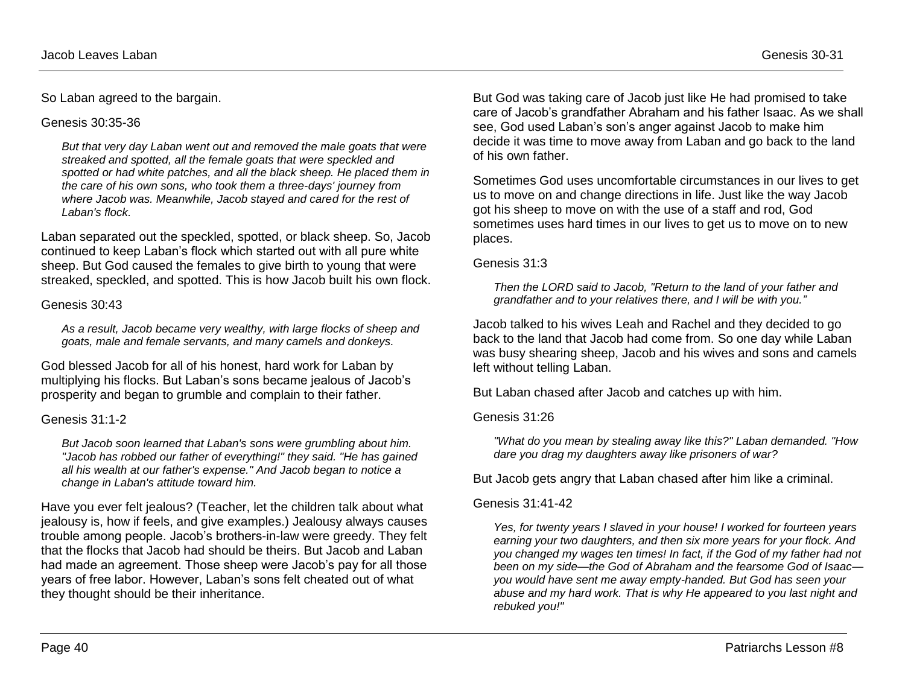So Laban agreed to the bargain.

#### Genesis 30:35-36

*But that very day Laban went out and removed the male goats that were streaked and spotted, all the female goats that were speckled and spotted or had white patches, and all the black sheep. He placed them in the care of his own sons, who took them a three-days' journey from where Jacob was. Meanwhile, Jacob stayed and cared for the rest of Laban's flock.*

Laban separated out the speckled, spotted, or black sheep. So, Jacob continued to keep Laban's flock which started out with all pure white sheep. But God caused the females to give birth to young that were streaked, speckled, and spotted. This is how Jacob built his own flock.

### Genesis 30:43

*As a result, Jacob became very wealthy, with large flocks of sheep and goats, male and female servants, and many camels and donkeys.*

God blessed Jacob for all of his honest, hard work for Laban by multiplying his flocks. But Laban's sons became jealous of Jacob's prosperity and began to grumble and complain to their father.

### Genesis 31:1-2

*But Jacob soon learned that Laban's sons were grumbling about him. "Jacob has robbed our father of everything!" they said. "He has gained all his wealth at our father's expense." And Jacob began to notice a change in Laban's attitude toward him.* 

Have you ever felt jealous? (Teacher, let the children talk about what jealousy is, how if feels, and give examples.) Jealousy always causes trouble among people. Jacob's brothers-in-law were greedy. They felt that the flocks that Jacob had should be theirs. But Jacob and Laban had made an agreement. Those sheep were Jacob's pay for all those years of free labor. However, Laban's sons felt cheated out of what they thought should be their inheritance.

But God was taking care of Jacob just like He had promised to take care of Jacob's grandfather Abraham and his father Isaac. As we shall see, God used Laban's son's anger against Jacob to make him decide it was time to move away from Laban and go back to the land of his own father.

Sometimes God uses uncomfortable circumstances in our lives to get us to move on and change directions in life. Just like the way Jacob got his sheep to move on with the use of a staff and rod, God sometimes uses hard times in our lives to get us to move on to new places.

#### Genesis 31:3

*Then the LORD said to Jacob, "Return to the land of your father and grandfather and to your relatives there, and I will be with you."*

Jacob talked to his wives Leah and Rachel and they decided to go back to the land that Jacob had come from. So one day while Laban was busy shearing sheep, Jacob and his wives and sons and camels left without telling Laban.

But Laban chased after Jacob and catches up with him.

### Genesis 31:26

*"What do you mean by stealing away like this?" Laban demanded. "How dare you drag my daughters away like prisoners of war?* 

But Jacob gets angry that Laban chased after him like a criminal.

### Genesis 31:41-42

*Yes, for twenty years I slaved in your house! I worked for fourteen years earning your two daughters, and then six more years for your flock. And you changed my wages ten times! In fact, if the God of my father had not been on my side—the God of Abraham and the fearsome God of Isaac you would have sent me away empty-handed. But God has seen your abuse and my hard work. That is why He appeared to you last night and rebuked you!"*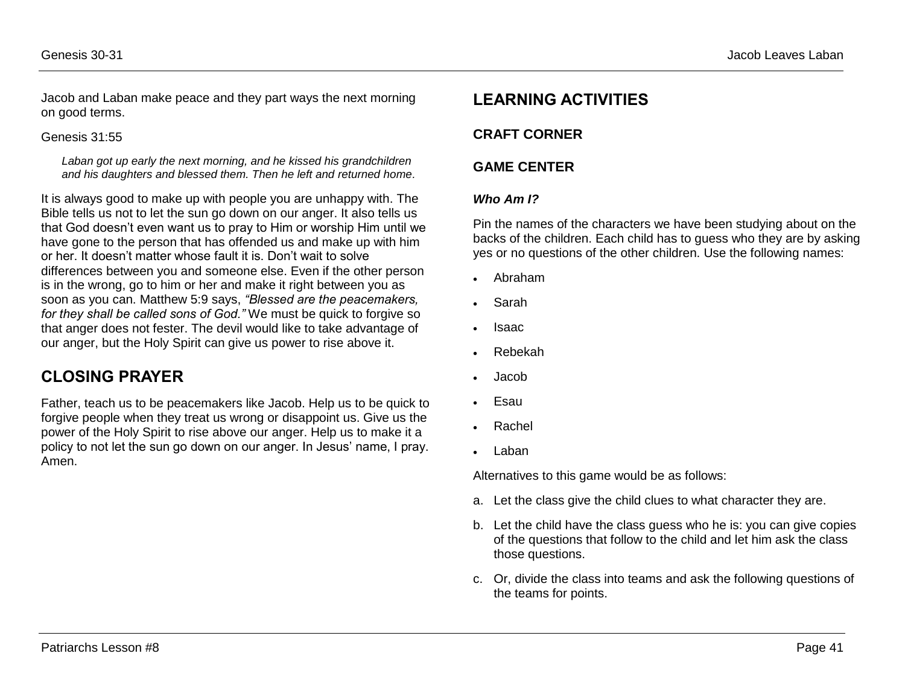Jacob and Laban make peace and they part ways the next morning on good terms.

#### Genesis 31:55

*Laban got up early the next morning, and he kissed his grandchildren and his daughters and blessed them. Then he left and returned home.*

It is always good to make up with people you are unhappy with. The Bible tells us not to let the sun go down on our anger. It also tells us that God doesn't even want us to pray to Him or worship Him until we have gone to the person that has offended us and make up with him or her. It doesn't matter whose fault it is. Don't wait to solve differences between you and someone else. Even if the other person is in the wrong, go to him or her and make it right between you as soon as you can. Matthew 5:9 says, *"Blessed are the peacemakers, for they shall be called sons of God."* We must be quick to forgive so that anger does not fester. The devil would like to take advantage of our anger, but the Holy Spirit can give us power to rise above it.

## **CLOSING PRAYER**

Father, teach us to be peacemakers like Jacob. Help us to be quick to forgive people when they treat us wrong or disappoint us. Give us the power of the Holy Spirit to rise above our anger. Help us to make it a policy to not let the sun go down on our anger. In Jesus' name, I pray. Amen.

## **LEARNING ACTIVITIES**

## **CRAFT CORNER**

## **GAME CENTER**

### *Who Am I?*

Pin the names of the characters we have been studying about on the backs of the children. Each child has to guess who they are by asking yes or no questions of the other children. Use the following names:

- Abraham
- Sarah
- Isaac
- Rebekah
- Jacob
- Esau
- Rachel
- Laban

Alternatives to this game would be as follows:

- a. Let the class give the child clues to what character they are.
- b. Let the child have the class guess who he is: you can give copies of the questions that follow to the child and let him ask the class those questions.
- c. Or, divide the class into teams and ask the following questions of the teams for points.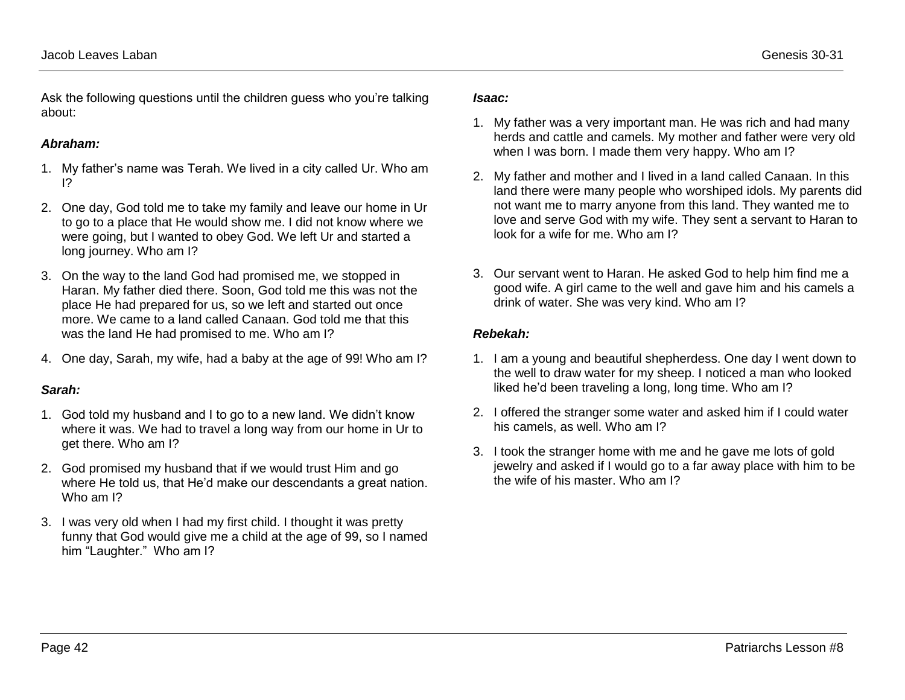Ask the following questions until the children guess who you're talking about:

### *Abraham:*

- 1. My father's name was Terah. We lived in a city called Ur. Who am I?
- 2. One day, God told me to take my family and leave our home in Ur to go to a place that He would show me. I did not know where we were going, but I wanted to obey God. We left Ur and started a long journey. Who am I?
- 3. On the way to the land God had promised me, we stopped in Haran. My father died there. Soon, God told me this was not the place He had prepared for us, so we left and started out once more. We came to a land called Canaan. God told me that this was the land He had promised to me. Who am I?
- 4. One day, Sarah, my wife, had a baby at the age of 99! Who am I?

### *Sarah:*

- 1. God told my husband and I to go to a new land. We didn't know where it was. We had to travel a long way from our home in Ur to get there. Who am I?
- 2. God promised my husband that if we would trust Him and go where He told us, that He'd make our descendants a great nation. Who am I?
- 3. I was very old when I had my first child. I thought it was pretty funny that God would give me a child at the age of 99, so I named him "Laughter." Who am I?

### *Isaac:*

- 1. My father was a very important man. He was rich and had many herds and cattle and camels. My mother and father were very old when I was born. I made them very happy. Who am I?
- 2. My father and mother and I lived in a land called Canaan. In this land there were many people who worshiped idols. My parents did not want me to marry anyone from this land. They wanted me to love and serve God with my wife. They sent a servant to Haran to look for a wife for me. Who am I?
- 3. Our servant went to Haran. He asked God to help him find me a good wife. A girl came to the well and gave him and his camels a drink of water. She was very kind. Who am I?

## *Rebekah:*

- 1. I am a young and beautiful shepherdess. One day I went down to the well to draw water for my sheep. I noticed a man who looked liked he'd been traveling a long, long time. Who am I?
- 2. I offered the stranger some water and asked him if I could water his camels, as well. Who am I?
- 3. I took the stranger home with me and he gave me lots of gold jewelry and asked if I would go to a far away place with him to be the wife of his master. Who am I?